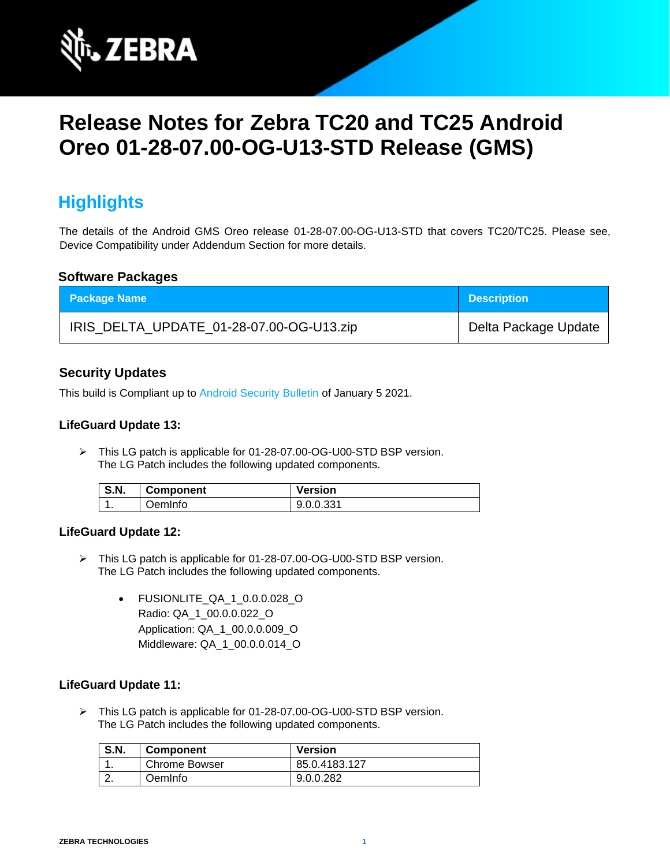

# **Release Notes for Zebra TC20 and TC25 Android Oreo 01-28-07.00-OG-U13-STD Release (GMS)**

# **Highlights**

The details of the Android GMS Oreo release 01-28-07.00-OG-U13-STD that covers TC20/TC25. Please see, Device Compatibility under Addendum Section for more details.

#### **Software Packages**

| <b>Package Name</b>                      | <b>Description</b>   |
|------------------------------------------|----------------------|
| IRIS_DELTA_UPDATE_01-28-07.00-OG-U13.zip | Delta Package Update |

#### **Security Updates**

This build is Compliant up to [Android Security Bulletin](https://source.android.com/security/bulletin/) of January 5 2021.

#### **LifeGuard Update 13:**

➢ This LG patch is applicable for 01-28-07.00-OG-U00-STD BSP version. The LG Patch includes the following updated components.

| <b>S.N.</b> | <b>Component</b> | <b>Version</b> |
|-------------|------------------|----------------|
| . .         | OemInfo          | 9.0.0.331      |

#### **LifeGuard Update 12:**

- ➢ This LG patch is applicable for 01-28-07.00-OG-U00-STD BSP version. The LG Patch includes the following updated components.
	- FUSIONLITE\_QA\_1\_0.0.0.028\_O Radio: QA\_1\_00.0.0.022\_O Application: QA\_1\_00.0.0.009\_O Middleware: QA\_1\_00.0.0.014\_O

#### **LifeGuard Update 11:**

➢ This LG patch is applicable for 01-28-07.00-OG-U00-STD BSP version. The LG Patch includes the following updated components.

| <b>S.N.</b> | <b>Component</b>     | <b>Version</b> |
|-------------|----------------------|----------------|
|             | <b>Chrome Bowser</b> | 85.0.4183.127  |
| <u>.</u> .  | OemInfo              | 9.0.0.282      |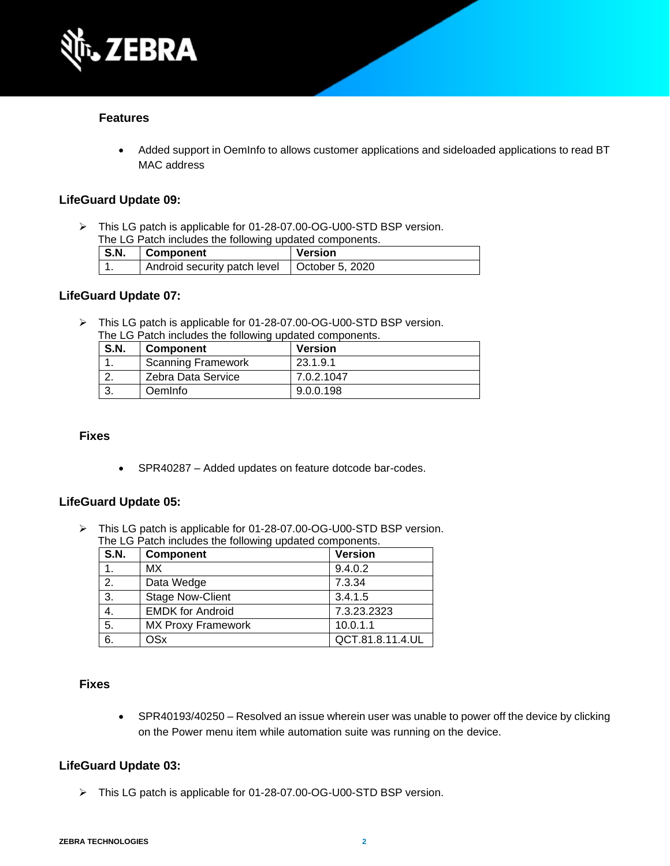

#### **Features**

• Added support in OemInfo to allows customer applications and sideloaded applications to read BT MAC address

#### **LifeGuard Update 09:**

➢ This LG patch is applicable for 01-28-07.00-OG-U00-STD BSP version. The LG Patch includes the following updated components.

| S.N. | Component                                      | Version |
|------|------------------------------------------------|---------|
|      | Android security patch level   October 5, 2020 |         |

#### **LifeGuard Update 07:**

➢ This LG patch is applicable for 01-28-07.00-OG-U00-STD BSP version. The LG Patch includes the following updated components.

| <b>S.N.</b> | <b>Component</b>          | <b>Version</b> |
|-------------|---------------------------|----------------|
|             | <b>Scanning Framework</b> | 23.1.9.1       |
|             | Zebra Data Service        | 7.0.2.1047     |
|             | Oemlnfo                   | 9.0.0.198      |

#### **Fixes**

• SPR40287 – Added updates on feature dotcode bar-codes.

#### **LifeGuard Update 05:**

➢ This LG patch is applicable for 01-28-07.00-OG-U00-STD BSP version. The LG Patch includes the following updated components.

| <b>S.N.</b> | <b>Component</b>          | <b>Version</b>   |
|-------------|---------------------------|------------------|
|             | <b>MX</b>                 | 9.4.0.2          |
| 2.          | Data Wedge                | 7.3.34           |
| 3.          | <b>Stage Now-Client</b>   | 3.4.1.5          |
| 4.          | <b>EMDK for Android</b>   | 7.3.23.2323      |
| 5.          | <b>MX Proxy Framework</b> | 10.0.1.1         |
| 6.          | OSx                       | QCT.81.8.11.4.UL |

#### **Fixes**

• SPR40193/40250 – Resolved an issue wherein user was unable to power off the device by clicking on the Power menu item while automation suite was running on the device.

#### **LifeGuard Update 03:**

➢ This LG patch is applicable for 01-28-07.00-OG-U00-STD BSP version.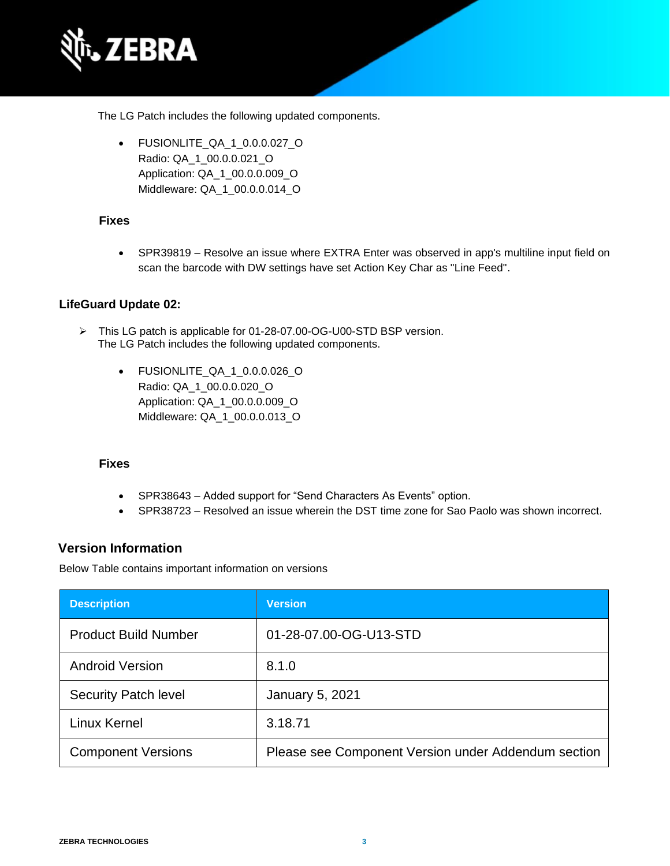

The LG Patch includes the following updated components.

• FUSIONLITE\_QA\_1\_0.0.0.027\_O Radio: QA\_1\_00.0.0.021\_O Application: QA\_1\_00.0.0.009\_O Middleware: QA\_1\_00.0.0.014\_O

#### **Fixes**

• SPR39819 – Resolve an issue where EXTRA Enter was observed in app's multiline input field on scan the barcode with DW settings have set Action Key Char as "Line Feed".

#### **LifeGuard Update 02:**

- ➢ This LG patch is applicable for 01-28-07.00-OG-U00-STD BSP version. The LG Patch includes the following updated components.
	- FUSIONLITE\_QA\_1\_0.0.0.026\_O Radio: QA\_1\_00.0.0.020\_O Application: QA\_1\_00.0.0.009\_O Middleware: QA\_1\_00.0.0.013\_O

#### **Fixes**

- SPR38643 Added support for "Send Characters As Events" option.
- SPR38723 Resolved an issue wherein the DST time zone for Sao Paolo was shown incorrect.

#### **Version Information**

Below Table contains important information on versions

| <b>Description</b>          | <b>Version</b>                                      |
|-----------------------------|-----------------------------------------------------|
| <b>Product Build Number</b> | 01-28-07.00-OG-U13-STD                              |
| <b>Android Version</b>      | 8.1.0                                               |
| <b>Security Patch level</b> | <b>January 5, 2021</b>                              |
| Linux Kernel                | 3.18.71                                             |
| <b>Component Versions</b>   | Please see Component Version under Addendum section |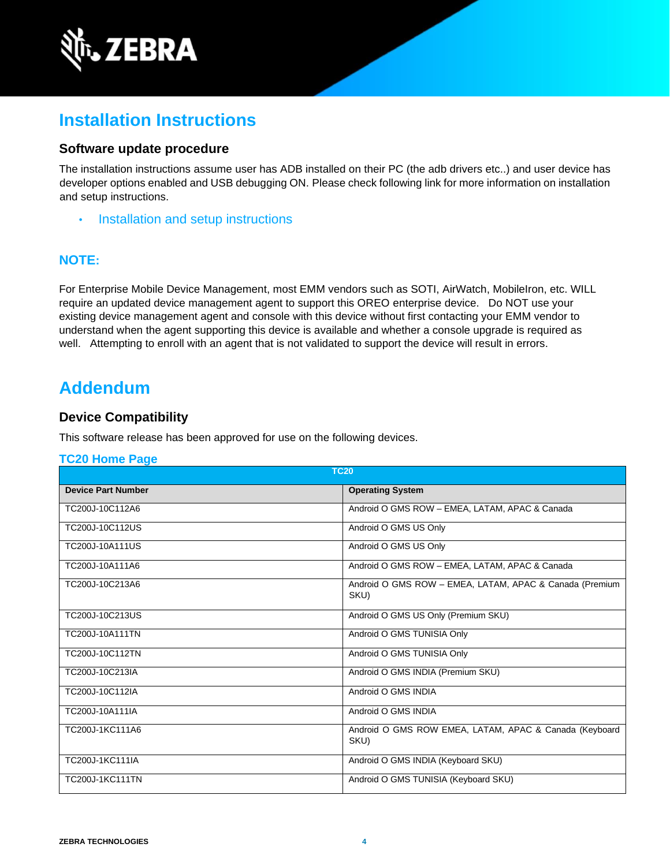

# **Installation Instructions**

#### **Software update procedure**

The installation instructions assume user has ADB installed on their PC (the adb drivers etc..) and user device has developer options enabled and USB debugging ON. Please check following link for more information on installation and setup instructions.

• [Installation and setup instructions](https://www.zebra.com/content/dam/zebra_new_ia/en-us/software/operating-system/tc20-operating-system/Android-O-OS-Update-TC20-and-TC25-GMS.pdf)

#### **NOTE:**

For Enterprise Mobile Device Management, most EMM vendors such as SOTI, AirWatch, MobileIron, etc. WILL require an updated device management agent to support this OREO enterprise device. Do NOT use your existing device management agent and console with this device without first contacting your EMM vendor to understand when the agent supporting this device is available and whether a console upgrade is required as well. Attempting to enroll with an agent that is not validated to support the device will result in errors.

### **Addendum**

#### **Device Compatibility**

This software release has been approved for use on the following devices.

#### **[TC20 Home Page](https://www.zebra.com/us/en/support-downloads/software/operating-system/tc20-operating-system.html)**

|                           | <b>TC20</b>                                                     |
|---------------------------|-----------------------------------------------------------------|
| <b>Device Part Number</b> | <b>Operating System</b>                                         |
| TC200J-10C112A6           | Android O GMS ROW - EMEA, LATAM, APAC & Canada                  |
| TC200J-10C112US           | Android O GMS US Only                                           |
| TC200J-10A111US           | Android O GMS US Only                                           |
| TC200J-10A111A6           | Android O GMS ROW - EMEA, LATAM, APAC & Canada                  |
| TC200J-10C213A6           | Android O GMS ROW - EMEA, LATAM, APAC & Canada (Premium<br>SKU) |
| TC200J-10C213US           | Android O GMS US Only (Premium SKU)                             |
| TC200J-10A111TN           | Android O GMS TUNISIA Only                                      |
| TC200J-10C112TN           | Android O GMS TUNISIA Only                                      |
| TC200J-10C213IA           | Android O GMS INDIA (Premium SKU)                               |
| TC200J-10C112IA           | Android O GMS INDIA                                             |
| TC200J-10A111IA           | Android O GMS INDIA                                             |
| TC200J-1KC111A6           | Android O GMS ROW EMEA, LATAM, APAC & Canada (Keyboard<br>SKU)  |
| TC200J-1KC111IA           | Android O GMS INDIA (Keyboard SKU)                              |
| <b>TC200J-1KC111TN</b>    | Android O GMS TUNISIA (Keyboard SKU)                            |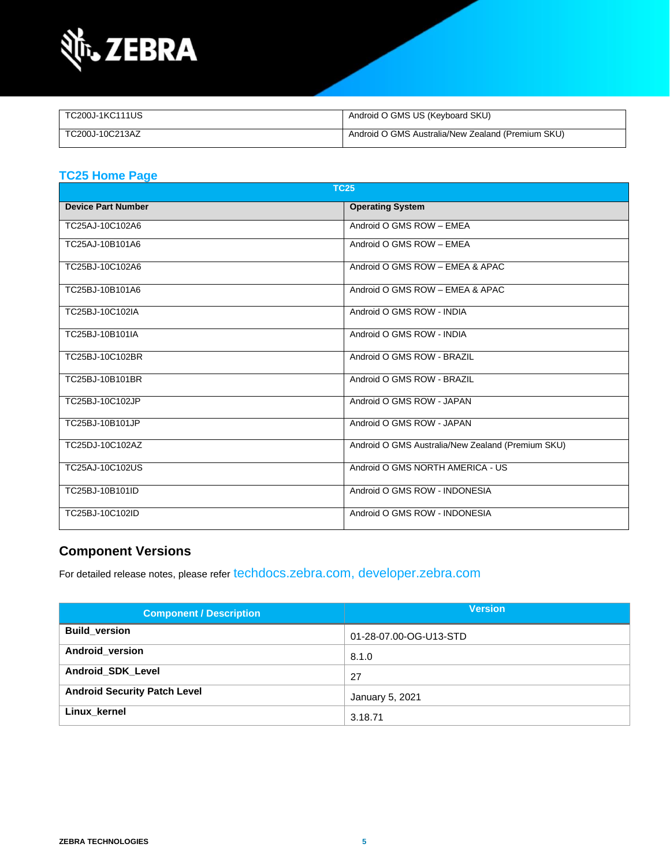

| TC200J-1KC111US | Android O GMS US (Keyboard SKU)                   |
|-----------------|---------------------------------------------------|
| TC200J-10C213AZ | Android O GMS Australia/New Zealand (Premium SKU) |

#### **[TC25 Home Page](https://www.zebra.com/us/en/support-downloads/software/operating-system/tc25-operating-system.html)**

|                           | <b>TC25</b>                                       |
|---------------------------|---------------------------------------------------|
| <b>Device Part Number</b> | <b>Operating System</b>                           |
| TC25AJ-10C102A6           | Android O GMS ROW - EMEA                          |
| TC25AJ-10B101A6           | Android O GMS ROW - EMEA                          |
| TC25BJ-10C102A6           | Android O GMS ROW - EMEA & APAC                   |
| TC25BJ-10B101A6           | Android O GMS ROW - EMEA & APAC                   |
| TC25BJ-10C102IA           | Android O GMS ROW - INDIA                         |
| TC25BJ-10B101IA           | Android O GMS ROW - INDIA                         |
| TC25BJ-10C102BR           | Android O GMS ROW - BRAZIL                        |
| TC25BJ-10B101BR           | Android O GMS ROW - BRAZIL                        |
| TC25BJ-10C102JP           | Android O GMS ROW - JAPAN                         |
| TC25BJ-10B101JP           | Android O GMS ROW - JAPAN                         |
| TC25DJ-10C102AZ           | Android O GMS Australia/New Zealand (Premium SKU) |
| TC25AJ-10C102US           | Android O GMS NORTH AMERICA - US                  |
| TC25BJ-10B101ID           | Android O GMS ROW - INDONESIA                     |
| TC25BJ-10C102ID           | Android O GMS ROW - INDONESIA                     |

### **Component Versions**

For detailed release notes, please refer [techdocs.zebra.com,](https://techdocs.zebra.com/) [developer.zebra.com](https://developer.zebra.com/)

| <b>Component / Description</b>      | <b>Version</b>         |
|-------------------------------------|------------------------|
| <b>Build version</b>                | 01-28-07.00-OG-U13-STD |
| Android_version                     | 8.1.0                  |
| Android_SDK_Level                   | 27                     |
| <b>Android Security Patch Level</b> | January 5, 2021        |
| Linux kernel                        | 3.18.71                |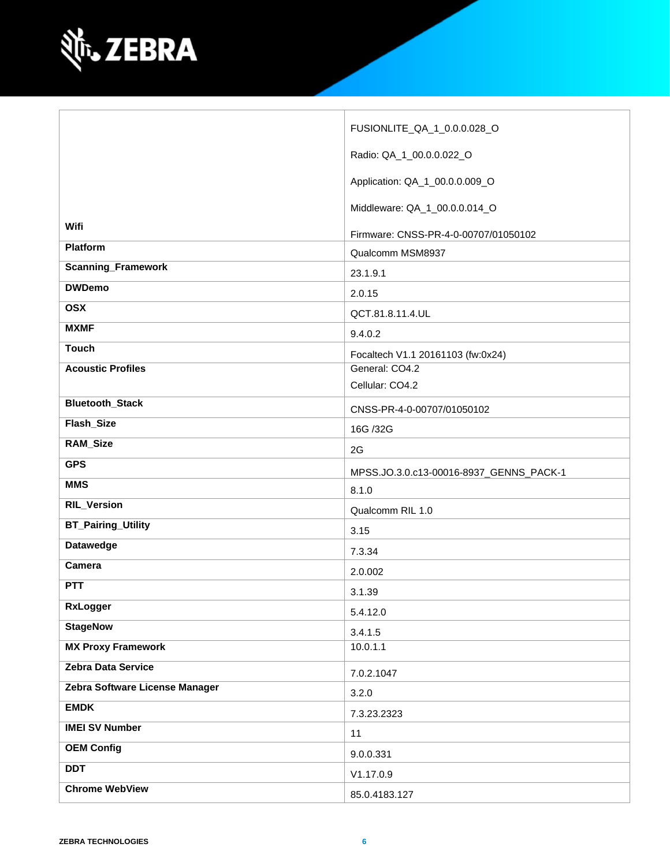

|                                     | FUSIONLITE_QA_1_0.0.0.028_O                         |
|-------------------------------------|-----------------------------------------------------|
|                                     | Radio: QA_1_00.0.0.022_O                            |
|                                     | Application: QA_1_00.0.0.009_O                      |
|                                     | Middleware: QA_1_00.0.0.014_O                       |
| Wifi                                | Firmware: CNSS-PR-4-0-00707/01050102                |
| <b>Platform</b>                     | Qualcomm MSM8937                                    |
| <b>Scanning_Framework</b>           | 23.1.9.1                                            |
| <b>DWDemo</b>                       | 2.0.15                                              |
| <b>OSX</b>                          | QCT.81.8.11.4.UL                                    |
| <b>MXMF</b>                         | 9.4.0.2                                             |
| <b>Touch</b>                        |                                                     |
| <b>Acoustic Profiles</b>            | Focaltech V1.1 20161103 (fw:0x24)<br>General: CO4.2 |
|                                     | Cellular: CO4.2                                     |
| <b>Bluetooth_Stack</b>              | CNSS-PR-4-0-00707/01050102                          |
| Flash_Size                          | 16G /32G                                            |
| <b>RAM_Size</b>                     | 2G                                                  |
|                                     |                                                     |
| <b>GPS</b>                          |                                                     |
| <b>MMS</b>                          | MPSS.JO.3.0.c13-00016-8937_GENNS_PACK-1             |
| <b>RIL_Version</b>                  | 8.1.0                                               |
| <b>BT_Pairing_Utility</b>           | Qualcomm RIL 1.0                                    |
| <b>Datawedge</b>                    | 3.15                                                |
| Camera                              | 7.3.34                                              |
| <b>PTT</b>                          | 2.0.002                                             |
|                                     | 3.1.39                                              |
| RxLogger                            | 5.4.12.0                                            |
| <b>StageNow</b>                     | 3.4.1.5                                             |
| <b>MX Proxy Framework</b>           | 10.0.1.1                                            |
| Zebra Data Service                  | 7.0.2.1047                                          |
| Zebra Software License Manager      | 3.2.0                                               |
| <b>EMDK</b>                         | 7.3.23.2323                                         |
| <b>IMEI SV Number</b>               | 11                                                  |
| <b>OEM Config</b>                   | 9.0.0.331                                           |
| <b>DDT</b><br><b>Chrome WebView</b> | V1.17.0.9                                           |